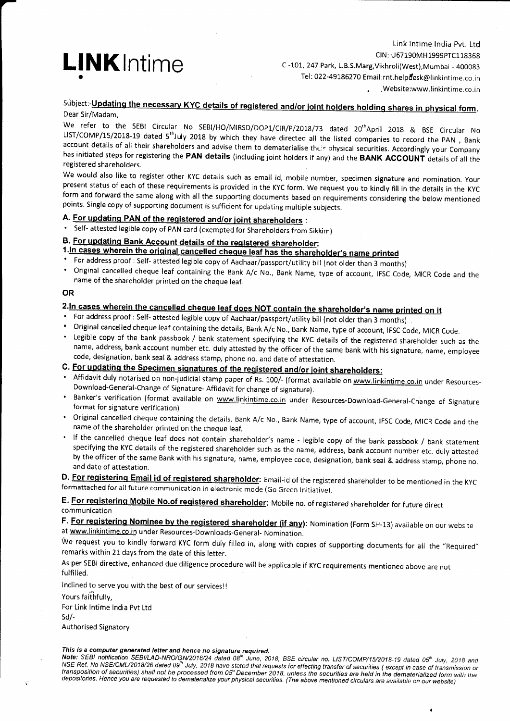

Link lntime lndia Pvt. Ltd CIN : U67190MH 1999PTC1 18358 C -101. 247 Park, L.B.S.Marg, Vikhroli(West), Mumbai - 400083 Tel: 022-49186270 Email:rnt.helpdesk@linkintime.co.in .,Website:www.linkintime.co.in

## Subject:-Updating the necessary KYC details of registered and/or joint holders holding shares in physical form. Dear Sir/Madam,

We refer to the SEBI Circular No SEBI/HO/MIRSD/DOP1/CIR/P/2018/73 dated 20<sup>th</sup>April 2018 & BSE Circular No LIST/COMP/15/2018-19 dated 5<sup>th</sup>.luly 2018 by which they have directed all the listed companies to record the PAN, account details of all their shareholders and advise them to dematerialise their physical securities. Accordingly your Company<br>has initiated steps for registering the PAN details (including joint holders if any) and the BA

We would also like to register other KYC details such as email id, mobile number, specimen signature and nomination. Your<br>present status of each of these requirements is provided in the KYC form. We request you to kindly f form and forward the same along with all the supporting documents based on requirements considering the below mentioned<br>points. Single copy of supporting document is sufficient for updating multiple subjects.

# A. For updating PAN of the registered and/or joint shareholders :

' self- attested legible copy of pAN card (exempted for shareholders from sikkim)

- B. <u>For updating Bank Account details of the registered shareholder</u>:<br>1. In cases wherein the original cancelled cheque leaf has the shareholder's name printed
- 
- For address proof : Self- attested legible copy of Aadhaar/passport/utility bill (not older than 3 months)<br>• Original cancelled cheque leaf containing the Bank A/c No., Bank Name, type of account, IFSC Code, MICR Code an name of the shareholder printed on the cheque leaf.

### OR

- 
- 
- 2. In cases wherein the cancelled cheque leaf does NOT contain the shareholder's name printed on it<br>• For address proof : Self- attested legible copy of Aadhaar/passport/utility bill (not older than 3 months)<br>• Original ca name, address, bank account number etc. duly attested by the officer of the same bank with his signature, name, employee code, designation, bank seal & address stamp, phone no. and date of attestation.

# C. For updating the Specimen signatures of the registered and/or joint shareholders:

- Affidavit duly notarised on non-judicial stamp paper of Rs. 100/- (format available on www.linkintime.co.in under Resources-Download-General-change of signature- Affidavit for change of signature).
- \* Banker's verification (format available on www.linkintime.co.in under Resources-Download-General-Change of Signature format for signature format for signature
- ' Original cancelled cheque containing the details, Bank A/c No., Bank Name, type of account, lFSc code, MICR Code and the name of the shareholder printed on the cheque leaf.
- If the cancelled cheque leaf does not contain shareholder's name legible copy of the bank passbook / bank statement specifying the KYc details of the registered shareholder such as the name, address, bank account number etc. duly attested by the officer of the same Bank with his signature, name, employee code, designation, bank seal & address stamp, phone no. and date of attestation.

D. For registering Email id of registered shareholder: Email-id of the registered shareholder to be mentioned in the KYC formattached for all future communication in electronic mode (Go Green lnitiative).

E. For registering Mobile No.of registered shareholder: Mobile no. of registered shareholder for future direct communication

F. For registering Nominee by the registered shareholder (if any): Nomination (Form SH-13) available on our website at www.linkintime.co.in under Resources-Downloads-General- Nomination.

We request you to kindly forward KYC form duly filled in, along with copies of supporting documents for all the "Required" remarks within 21 days from the date of this letter.

As per SEBI directive, enhanced due diligence procedure will be applicabie if KYC requirements mentioned above are not fulfilled.

lnclined to serve you with the best of our servicesl!

Yours faithfully,

For Link Intime India Pvt Ltd sd/-

Authorised Signatory

This is a computer generated letter and hence no signature required.<br>Note: SEBI notification SEBI/LAD-NRO/GN/2018/24 dated 08<sup>th</sup> June, 2018, BSE circular no. LIST/COMP/15/2018-19 dated 05<sup>th</sup> July, 2018 and NSE Ref. No NSE/CML/2018/26 dated 09<sup>th</sup> July, 2018 have stated that requests for effecting transfer of securities (except in case of transmission or<br>transposition of securities) shall not be processed from 05<sup>th</sup> December